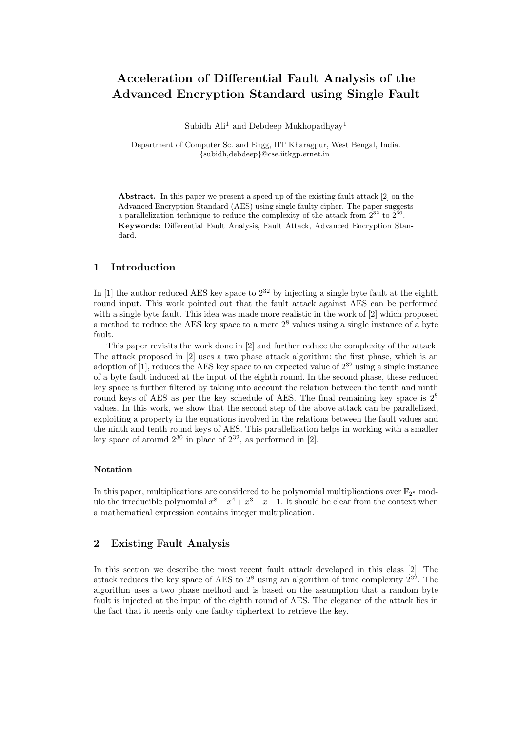# Acceleration of Differential Fault Analysis of the Advanced Encryption Standard using Single Fault

Subidh  $\text{Ali}^1$  and Debdeep Mukhopadhyay<sup>1</sup>

Department of Computer Sc. and Engg, IIT Kharagpur, West Bengal, India. {subidh,debdeep}@cse.iitkgp.ernet.in

Abstract. In this paper we present a speed up of the existing fault attack [2] on the Advanced Encryption Standard (AES) using single faulty cipher. The paper suggests a parallelization technique to reduce the complexity of the attack from  $2^{32}$  to  $2^{30}$ . Keywords: Differential Fault Analysis, Fault Attack, Advanced Encryption Standard.

## 1 Introduction

In [1] the author reduced AES key space to  $2^{32}$  by injecting a single byte fault at the eighth round input. This work pointed out that the fault attack against AES can be performed with a single byte fault. This idea was made more realistic in the work of [2] which proposed a method to reduce the AES key space to a mere  $2<sup>8</sup>$  values using a single instance of a byte fault.

This paper revisits the work done in [2] and further reduce the complexity of the attack. The attack proposed in [2] uses a two phase attack algorithm: the first phase, which is an adoption of [1], reduces the AES key space to an expected value of  $2^{32}$  using a single instance of a byte fault induced at the input of the eighth round. In the second phase, these reduced key space is further filtered by taking into account the relation between the tenth and ninth round keys of AES as per the key schedule of AES. The final remaining key space is  $2^8$ values. In this work, we show that the second step of the above attack can be parallelized, exploiting a property in the equations involved in the relations between the fault values and the ninth and tenth round keys of AES. This parallelization helps in working with a smaller key space of around  $2^{30}$  in place of  $2^{32}$ , as performed in [2].

#### Notation

In this paper, multiplications are considered to be polynomial multiplications over  $\mathbb{F}_{2^8}$  modulo the irreducible polynomial  $x^8 + x^4 + x^3 + x + 1$ . It should be clear from the context when a mathematical expression contains integer multiplication.

## 2 Existing Fault Analysis

In this section we describe the most recent fault attack developed in this class [2]. The attack reduces the key space of AES to  $2^8$  using an algorithm of time complexity  $2^{32}$ . The algorithm uses a two phase method and is based on the assumption that a random byte fault is injected at the input of the eighth round of AES. The elegance of the attack lies in the fact that it needs only one faulty ciphertext to retrieve the key.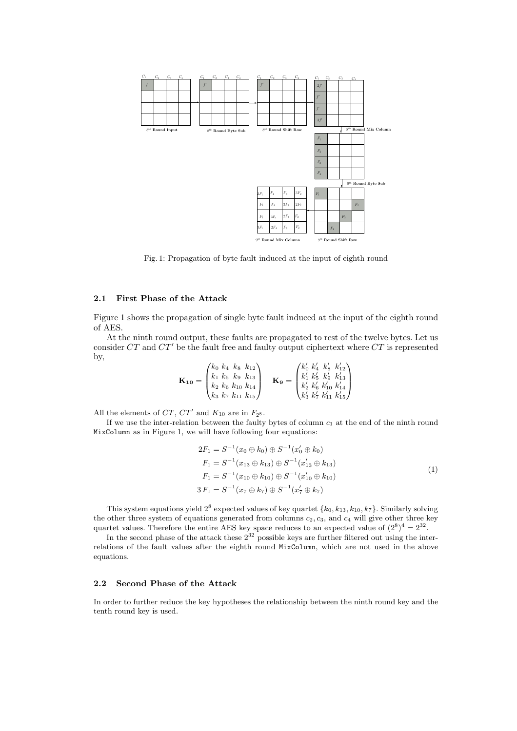

Fig. 1: Propagation of byte fault induced at the input of eighth round

### 2.1 First Phase of the Attack

Figure 1 shows the propagation of single byte fault induced at the input of the eighth round of AES.

At the ninth round output, these faults are propagated to rest of the twelve bytes. Let us consider  $CT$  and  $CT'$  be the fault free and faulty output ciphertext where  $CT$  is represented by,

$$
\mathbf{K_{10}} = \begin{pmatrix} k_0 & k_4 & k_8 & k_{12} \\ k_1 & k_5 & k_9 & k_{13} \\ k_2 & k_6 & k_{10} & k_{14} \\ k_3 & k_7 & k_{11} & k_{15} \end{pmatrix} \quad \mathbf{K_9} = \begin{pmatrix} k'_0 & k'_4 & k'_8 & k'_{12} \\ k'_1 & k'_5 & k'_9 & k'_{13} \\ k'_2 & k'_6 & k'_{10} & k'_{14} \\ k'_3 & k'_7 & k'_{11} & k'_{15} \end{pmatrix}
$$

All the elements of  $CT$ ,  $CT'$  and  $K_{10}$  are in  $F_{2}$ s.

If we use the inter-relation between the faulty bytes of column  $c_1$  at the end of the ninth round MixColumn as in Figure 1, we will have following four equations:

$$
2F_1 = S^{-1}(x_0 \oplus k_0) \oplus S^{-1}(x'_0 \oplus k_0)
$$
  
\n
$$
F_1 = S^{-1}(x_{13} \oplus k_{13}) \oplus S^{-1}(x'_{13} \oplus k_{13})
$$
  
\n
$$
F_1 = S^{-1}(x_{10} \oplus k_{10}) \oplus S^{-1}(x'_{10} \oplus k_{10})
$$
  
\n
$$
3 F_1 = S^{-1}(x_7 \oplus k_7) \oplus S^{-1}(x'_7 \oplus k_7)
$$
\n(1)

This system equations yield  $2^8$  expected values of key quartet  $\{k_0, k_{13}, k_{10}, k_7\}$ . Similarly solving the other three system of equations generated from columns  $c_2, c_3$ , and  $c_4$  will give other three key quartet values. Therefore the entire AES key space reduces to an expected value of  $(2^8)^4 = 2^{32}$ .

In the second phase of the attack these  $2^{32}$  possible keys are further filtered out using the interrelations of the fault values after the eighth round MixColumn, which are not used in the above equations.

### 2.2 Second Phase of the Attack

In order to further reduce the key hypotheses the relationship between the ninth round key and the tenth round key is used.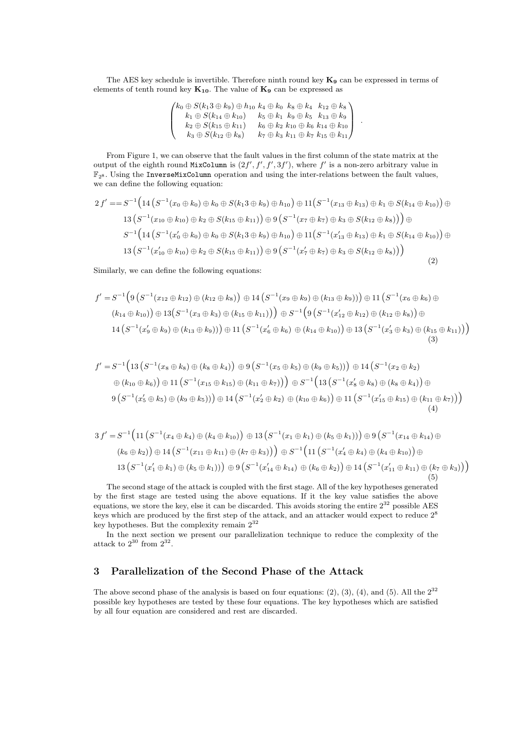The AES key schedule is invertible. Therefore ninth round key  $\mathbf{K}_9$  can be expressed in terms of elements of tenth round key  $K_{10}$ . The value of  $K_9$  can be expressed as

> $\sqrt{ }$  $\vert$  $k_0\oplus S(k_1 3\oplus k_9)\oplus h_{10}\,\, k_4 \oplus k_0\,\,\, k_8 \oplus k_4\,\,\,\, k_{12}\oplus k_8$  $k_1 \oplus S(k_{14} \oplus k_{10}) \ \ \ \ \ \ k_5 \oplus k_1 \ \ k_9 \oplus k_5 \ \ \ k_{13} \oplus k_9$  $k_{2}\oplus S(k_{15}\oplus k_{11})\ \ \ \ \ \ k_{6}\oplus k_{2}\ k_{10}\oplus k_{6}\ k_{14}\oplus k_{10}$  $k_3 \oplus S(k_{12} \oplus k_8) \qquad k_7 \oplus k_3 \ k_{11} \oplus k_7 \ k_{15} \oplus k_{11}$ 1  $\vert \cdot$

From Figure 1, we can observe that the fault values in the first column of the state matrix at the output of the eighth round MixColumn is  $(2f', f', f', 3f')$ , where f' is a non-zero arbitrary value in  $\mathbb{F}_{28}$ . Using the InverseMixColumn operation and using the inter-relations between the fault values, we can define the following equation:

$$
2 f' = S^{-1} \Big( 14 \left( S^{-1} (x_0 \oplus k_0) \oplus k_0 \oplus S(k_1 3 \oplus k_9) \oplus h_{10} \right) \oplus 11 \Big( S^{-1} (x_{13} \oplus k_{13}) \oplus k_1 \oplus S(k_{14} \oplus k_{10}) \Big) \oplus 13 \Big( S^{-1} (x_{10} \oplus k_{10}) \oplus k_2 \oplus S(k_{15} \oplus k_{11}) \Big) \oplus 9 \Big( S^{-1} (x_7 \oplus k_7) \oplus k_3 \oplus S(k_{12} \oplus k_8) \Big) \Big) \oplus 13 \Big( S^{-1} (x'_0 \oplus k_0) \oplus k_0 \oplus S(k_1 3 \oplus k_9) \oplus h_{10} \Big) \oplus 11 \Big( S^{-1} (x'_{13} \oplus k_{13}) \oplus k_1 \oplus S(k_{14} \oplus k_{10}) \Big) \oplus 13 \Big( S^{-1} (x'_{10} \oplus k_{10}) \oplus k_2 \oplus S(k_{15} \oplus k_{11}) \Big) \oplus 9 \Big( S^{-1} (x'_7 \oplus k_7) \oplus k_3 \oplus S(k_{12} \oplus k_8) \Big) \Big)
$$
\n
$$
(2)
$$

Similarly, we can define the following equations:

$$
f' = S^{-1} \Big( 9 \left( S^{-1} (x_{12} \oplus k_{12}) \oplus (k_{12} \oplus k_8) \right) \oplus 14 \left( S^{-1} (x_9 \oplus k_9) \oplus (k_{13} \oplus k_9) \right) \oplus 11 \left( S^{-1} (x_6 \oplus k_6) \oplus (k_{14} \oplus k_{10}) \right) \oplus 13 \Big( S^{-1} (x_3 \oplus k_3) \oplus (k_{15} \oplus k_{11}) \Big) \Big) \oplus S^{-1} \Big( 9 \left( S^{-1} (x'_{12} \oplus k_{12}) \oplus (k_{12} \oplus k_8) \right) \oplus (k_{14} \oplus k_{10}) \Big) \oplus 14 \left( S^{-1} (x'_{9} \oplus k_{9}) \oplus (k_{13} \oplus k_{9}) \right) \Big) \oplus 11 \left( S^{-1} (x'_{6} \oplus k_{6}) \oplus (k_{14} \oplus k_{10}) \right) \oplus 13 \left( S^{-1} (x'_{3} \oplus k_3) \oplus (k_{15} \oplus k_{11}) \right) \Big) \Big) \tag{3}
$$

$$
f' = S^{-1} \Big( 13 \left( S^{-1} (x_8 \oplus k_8) \oplus (k_8 \oplus k_4) \right) \oplus 9 \left( S^{-1} (x_5 \oplus k_5) \oplus (k_9 \oplus k_5) \right) \oplus 14 \left( S^{-1} (x_2 \oplus k_2) \right) \n\oplus (k_{10} \oplus k_6) \Big) \oplus 11 \left( S^{-1} (x_{15} \oplus k_{15}) \oplus (k_{11} \oplus k_7) \right) \Big) \oplus S^{-1} \Big( 13 \left( S^{-1} (x_8' \oplus k_8) \oplus (k_8 \oplus k_4) \right) \oplus \n9 \left( S^{-1} (x_5' \oplus k_5) \oplus (k_9 \oplus k_5) \right) \Big) \oplus 14 \left( S^{-1} (x_2' \oplus k_2) \oplus (k_{10} \oplus k_6) \right) \oplus 11 \left( S^{-1} (x_{15}' \oplus k_{15}) \oplus (k_{11} \oplus k_7) \right) \Big) \n(4)
$$

$$
3f' = S^{-1}(11(S^{-1}(x_4 \oplus k_4) \oplus (k_4 \oplus k_{10})) \oplus 13(S^{-1}(x_1 \oplus k_1) \oplus (k_5 \oplus k_1))) \oplus 9(S^{-1}(x_{14} \oplus k_{14}) \oplus (k_6 \oplus k_2)) \oplus 14(S^{-1}(x_{11} \oplus k_{11}) \oplus (k_7 \oplus k_3))) \oplus S^{-1}(11(S^{-1}(x_4' \oplus k_4) \oplus (k_4 \oplus k_{10})) \oplus 13(S^{-1}(x_1' \oplus k_1) \oplus (k_5 \oplus k_1))) \oplus 9(S^{-1}(x_{14}' \oplus k_{14}) \oplus (k_6 \oplus k_2)) \oplus 14(S^{-1}(x_{11}' \oplus k_{11}) \oplus (k_7 \oplus k_3)))
$$
\n(5)

The second stage of the attack is coupled with the first stage. All of the key hypotheses generated by the first stage are tested using the above equations. If it the key value satisfies the above equations, we store the key, else it can be discarded. This avoids storing the entire  $2^{32}$  possible AES keys which are produced by the first step of the attack, and an attacker would expect to reduce  $2<sup>8</sup>$ key hypotheses. But the complexity remain 2<sup>32</sup>

In the next section we present our parallelization technique to reduce the complexity of the attack to  $2^{30}$  from  $2^{32}$ .

## 3 Parallelization of the Second Phase of the Attack

The above second phase of the analysis is based on four equations: (2), (3), (4), and (5). All the  $2^{32}$ possible key hypotheses are tested by these four equations. The key hypotheses which are satisfied by all four equation are considered and rest are discarded.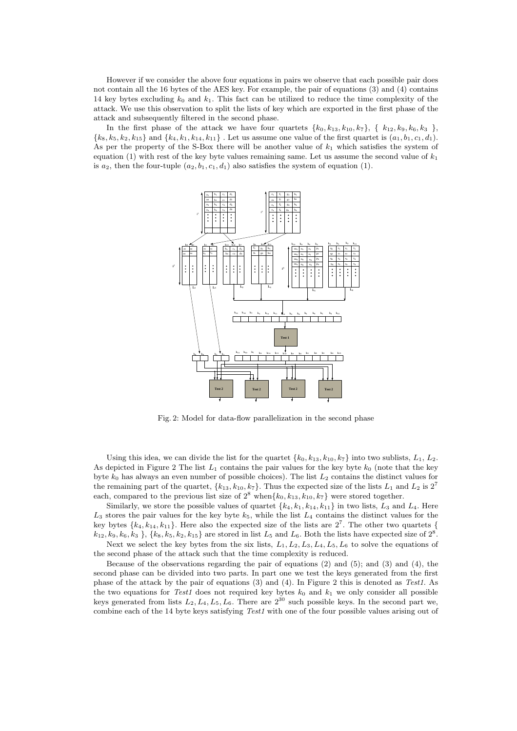However if we consider the above four equations in pairs we observe that each possible pair does not contain all the 16 bytes of the AES key. For example, the pair of equations (3) and (4) contains 14 key bytes excluding  $k_0$  and  $k_1$ . This fact can be utilized to reduce the time complexity of the attack. We use this observation to split the lists of key which are exported in the first phase of the attack and subsequently filtered in the second phase.

In the first phase of the attack we have four quartets  $\{k_0, k_{13}, k_{10}, k_7\}$ ,  $\{k_{12}, k_9, k_6, k_3\}$ ,  ${k_8, k_5, k_2, k_{15}}$  and  ${k_4, k_1, k_{14}, k_{11}}$ . Let us assume one value of the first quartet is  $(a_1, b_1, c_1, d_1)$ . As per the property of the S-Box there will be another value of  $k_1$  which satisfies the system of equation (1) with rest of the key byte values remaining same. Let us assume the second value of  $k_1$ is  $a_2$ , then the four-tuple  $(a_2, b_1, c_1, d_1)$  also satisfies the system of equation (1).



Fig. 2: Model for data-flow parallelization in the second phase

Using this idea, we can divide the list for the quartet  $\{k_0, k_{13}, k_{10}, k_7\}$  into two sublists,  $L_1, L_2$ . As depicted in Figure 2 The list  $L_1$  contains the pair values for the key byte  $k_0$  (note that the key byte  $k_0$  has always an even number of possible choices). The list  $L_2$  contains the distinct values for the remaining part of the quartet,  ${k_{13}, k_{10}, k_7}$ . Thus the expected size of the lists  $L_1$  and  $L_2$  is  $2^7$ each, compared to the previous list size of  $2^8$  when $\{k_0, k_{13}, k_{10}, k_7\}$  were stored together.

Similarly, we store the possible values of quartet  $\{k_4, k_1, k_{14}, k_{11}\}$  in two lists,  $L_3$  and  $L_4$ . Here  $L_3$  stores the pair values for the key byte  $k_5$ , while the list  $L_4$  contains the distinct values for the key bytes  $\{k_4, k_{14}, k_{11}\}$ . Here also the expected size of the lists are  $2^7$ . The other two quartets {  $k_{12}, k_9, k_6, k_3$ ,  $\{k_8, k_5, k_2, k_{15}\}$  are stored in list  $L_5$  and  $L_6$ . Both the lists have expected size of  $2^8$ .

Next we select the key bytes from the six lists,  $L_1, L_2, L_3, L_4, L_5, L_6$  to solve the equations of the second phase of the attack such that the time complexity is reduced.

Because of the observations regarding the pair of equations  $(2)$  and  $(5)$ ; and  $(3)$  and  $(4)$ , the second phase can be divided into two parts. In part one we test the keys generated from the first phase of the attack by the pair of equations (3) and (4). In Figure 2 this is denoted as Test1. As the two equations for Test1 does not required key bytes  $k_0$  and  $k_1$  we only consider all possible keys generated from lists  $L_2, L_4, L_5, L_6$ . There are  $2^{30}$  such possible keys. In the second part we, combine each of the 14 byte keys satisfying Test1 with one of the four possible values arising out of